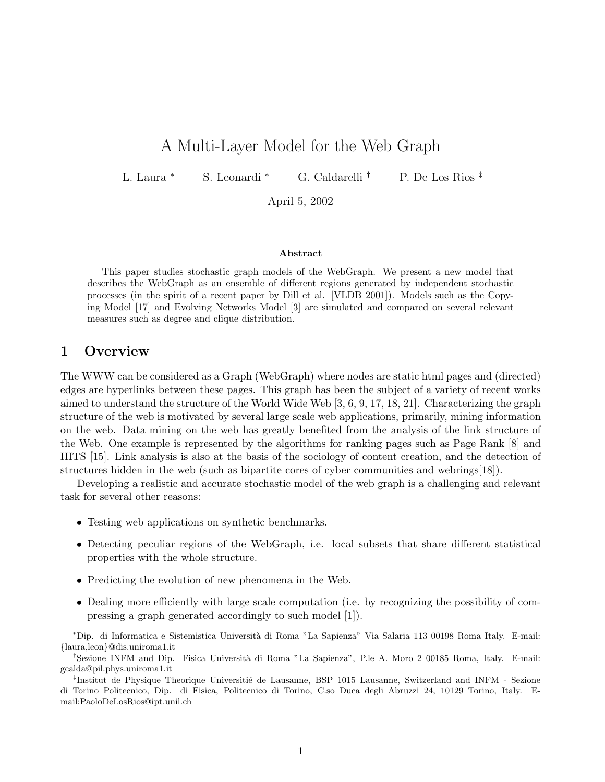# A Multi-Layer Model for the Web Graph

L. Laura <sup>∗</sup> S. Leonardi <sup>∗</sup> G. Caldarelli † P. De Los Rios ‡

April 5, 2002

#### Abstract

This paper studies stochastic graph models of the WebGraph. We present a new model that describes the WebGraph as an ensemble of different regions generated by independent stochastic processes (in the spirit of a recent paper by Dill et al. [VLDB 2001]). Models such as the Copying Model [17] and Evolving Networks Model [3] are simulated and compared on several relevant measures such as degree and clique distribution.

## 1 Overview

The WWW can be considered as a Graph (WebGraph) where nodes are static html pages and (directed) edges are hyperlinks between these pages. This graph has been the subject of a variety of recent works aimed to understand the structure of the World Wide Web [3, 6, 9, 17, 18, 21]. Characterizing the graph structure of the web is motivated by several large scale web applications, primarily, mining information on the web. Data mining on the web has greatly benefited from the analysis of the link structure of the Web. One example is represented by the algorithms for ranking pages such as Page Rank [8] and HITS [15]. Link analysis is also at the basis of the sociology of content creation, and the detection of structures hidden in the web (such as bipartite cores of cyber communities and webrings[18]).

Developing a realistic and accurate stochastic model of the web graph is a challenging and relevant task for several other reasons:

- Testing web applications on synthetic benchmarks.
- Detecting peculiar regions of the WebGraph, i.e. local subsets that share different statistical properties with the whole structure.
- Predicting the evolution of new phenomena in the Web.
- Dealing more efficiently with large scale computation (i.e. by recognizing the possibility of compressing a graph generated accordingly to such model [1]).

<sup>∗</sup>Dip. di Informatica e Sistemistica Universit`a di Roma "La Sapienza" Via Salaria 113 00198 Roma Italy. E-mail: {laura,leon}@dis.uniroma1.it

<sup>&</sup>lt;sup>†</sup>Sezione INFM and Dip. Fisica Università di Roma "La Sapienza", P.le A. Moro 2 00185 Roma, Italy. E-mail: gcalda@pil.phys.uniroma1.it

<sup>&</sup>lt;sup>‡</sup>Institut de Physique Theorique Universitié de Lausanne, BSP 1015 Lausanne, Switzerland and INFM - Sezione di Torino Politecnico, Dip. di Fisica, Politecnico di Torino, C.so Duca degli Abruzzi 24, 10129 Torino, Italy. Email:PaoloDeLosRios@ipt.unil.ch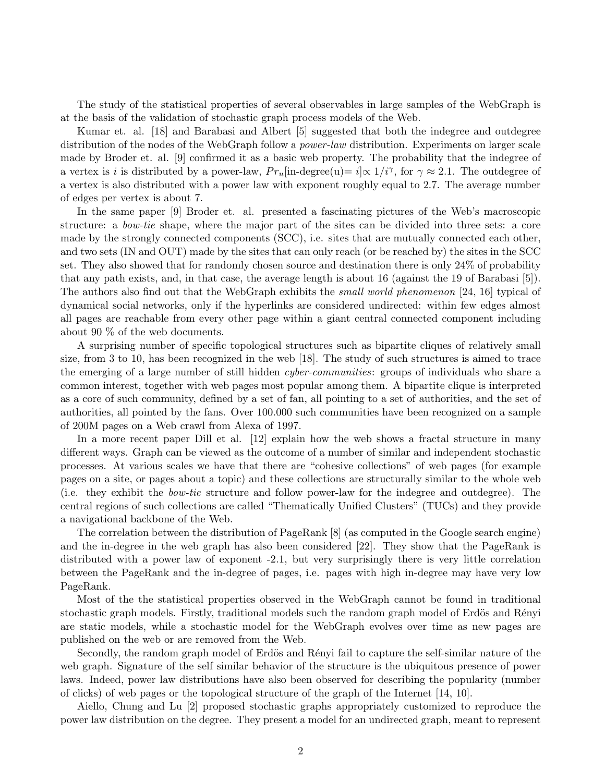The study of the statistical properties of several observables in large samples of the WebGraph is at the basis of the validation of stochastic graph process models of the Web.

Kumar et. al. [18] and Barabasi and Albert [5] suggested that both the indegree and outdegree distribution of the nodes of the WebGraph follow a *power-law* distribution. Experiments on larger scale made by Broder et. al. [9] confirmed it as a basic web property. The probability that the indegree of a vertex is i is distributed by a power-law,  $Pr_u$ [in-degree(u)= i] $\propto 1/i^{\gamma}$ , for  $\gamma \approx 2.1$ . The outdegree of a vertex is also distributed with a power law with exponent roughly equal to 2.7. The average number of edges per vertex is about 7.

In the same paper [9] Broder et. al. presented a fascinating pictures of the Web's macroscopic structure: a bow-tie shape, where the major part of the sites can be divided into three sets: a core made by the strongly connected components (SCC), i.e. sites that are mutually connected each other, and two sets (IN and OUT) made by the sites that can only reach (or be reached by) the sites in the SCC set. They also showed that for randomly chosen source and destination there is only 24% of probability that any path exists, and, in that case, the average length is about 16 (against the 19 of Barabasi [5]). The authors also find out that the WebGraph exhibits the *small world phenomenon* [24, 16] typical of dynamical social networks, only if the hyperlinks are considered undirected: within few edges almost all pages are reachable from every other page within a giant central connected component including about 90 % of the web documents.

A surprising number of specific topological structures such as bipartite cliques of relatively small size, from 3 to 10, has been recognized in the web [18]. The study of such structures is aimed to trace the emerging of a large number of still hidden *cyber-communities*: groups of individuals who share a common interest, together with web pages most popular among them. A bipartite clique is interpreted as a core of such community, defined by a set of fan, all pointing to a set of authorities, and the set of authorities, all pointed by the fans. Over 100.000 such communities have been recognized on a sample of 200M pages on a Web crawl from Alexa of 1997.

In a more recent paper Dill et al. [12] explain how the web shows a fractal structure in many different ways. Graph can be viewed as the outcome of a number of similar and independent stochastic processes. At various scales we have that there are "cohesive collections" of web pages (for example pages on a site, or pages about a topic) and these collections are structurally similar to the whole web (i.e. they exhibit the bow-tie structure and follow power-law for the indegree and outdegree). The central regions of such collections are called "Thematically Unified Clusters" (TUCs) and they provide a navigational backbone of the Web.

The correlation between the distribution of PageRank [8] (as computed in the Google search engine) and the in-degree in the web graph has also been considered [22]. They show that the PageRank is distributed with a power law of exponent -2.1, but very surprisingly there is very little correlation between the PageRank and the in-degree of pages, i.e. pages with high in-degree may have very low PageRank.

Most of the the statistical properties observed in the WebGraph cannot be found in traditional stochastic graph models. Firstly, traditional models such the random graph model of Erdös and Rényi are static models, while a stochastic model for the WebGraph evolves over time as new pages are published on the web or are removed from the Web.

Secondly, the random graph model of Erdös and Rényi fail to capture the self-similar nature of the web graph. Signature of the self similar behavior of the structure is the ubiquitous presence of power laws. Indeed, power law distributions have also been observed for describing the popularity (number of clicks) of web pages or the topological structure of the graph of the Internet [14, 10].

Aiello, Chung and Lu [2] proposed stochastic graphs appropriately customized to reproduce the power law distribution on the degree. They present a model for an undirected graph, meant to represent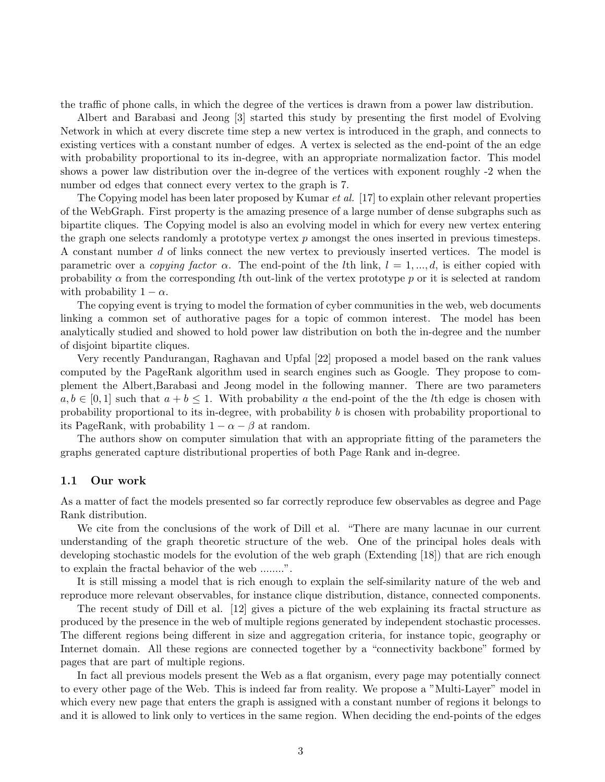the traffic of phone calls, in which the degree of the vertices is drawn from a power law distribution.

Albert and Barabasi and Jeong [3] started this study by presenting the first model of Evolving Network in which at every discrete time step a new vertex is introduced in the graph, and connects to existing vertices with a constant number of edges. A vertex is selected as the end-point of the an edge with probability proportional to its in-degree, with an appropriate normalization factor. This model shows a power law distribution over the in-degree of the vertices with exponent roughly -2 when the number od edges that connect every vertex to the graph is 7.

The Copying model has been later proposed by Kumar *et al.* [17] to explain other relevant properties of the WebGraph. First property is the amazing presence of a large number of dense subgraphs such as bipartite cliques. The Copying model is also an evolving model in which for every new vertex entering the graph one selects randomly a prototype vertex  $p$  amongst the ones inserted in previous timesteps. A constant number d of links connect the new vertex to previously inserted vertices. The model is parametric over a copying factor  $\alpha$ . The end-point of the lth link,  $l = 1, ..., d$ , is either copied with probability  $\alpha$  from the corresponding lth out-link of the vertex prototype p or it is selected at random with probability  $1 - \alpha$ .

The copying event is trying to model the formation of cyber communities in the web, web documents linking a common set of authorative pages for a topic of common interest. The model has been analytically studied and showed to hold power law distribution on both the in-degree and the number of disjoint bipartite cliques.

Very recently Pandurangan, Raghavan and Upfal [22] proposed a model based on the rank values computed by the PageRank algorithm used in search engines such as Google. They propose to complement the Albert,Barabasi and Jeong model in the following manner. There are two parameters  $a, b \in [0, 1]$  such that  $a + b \leq 1$ . With probability a the end-point of the the lth edge is chosen with probability proportional to its in-degree, with probability b is chosen with probability proportional to its PageRank, with probability  $1 - \alpha - \beta$  at random.

The authors show on computer simulation that with an appropriate fitting of the parameters the graphs generated capture distributional properties of both Page Rank and in-degree.

### 1.1 Our work

As a matter of fact the models presented so far correctly reproduce few observables as degree and Page Rank distribution.

We cite from the conclusions of the work of Dill et al. "There are many lacunae in our current understanding of the graph theoretic structure of the web. One of the principal holes deals with developing stochastic models for the evolution of the web graph (Extending [18]) that are rich enough to explain the fractal behavior of the web ........".

It is still missing a model that is rich enough to explain the self-similarity nature of the web and reproduce more relevant observables, for instance clique distribution, distance, connected components.

The recent study of Dill et al. [12] gives a picture of the web explaining its fractal structure as produced by the presence in the web of multiple regions generated by independent stochastic processes. The different regions being different in size and aggregation criteria, for instance topic, geography or Internet domain. All these regions are connected together by a "connectivity backbone" formed by pages that are part of multiple regions.

In fact all previous models present the Web as a flat organism, every page may potentially connect to every other page of the Web. This is indeed far from reality. We propose a "Multi-Layer" model in which every new page that enters the graph is assigned with a constant number of regions it belongs to and it is allowed to link only to vertices in the same region. When deciding the end-points of the edges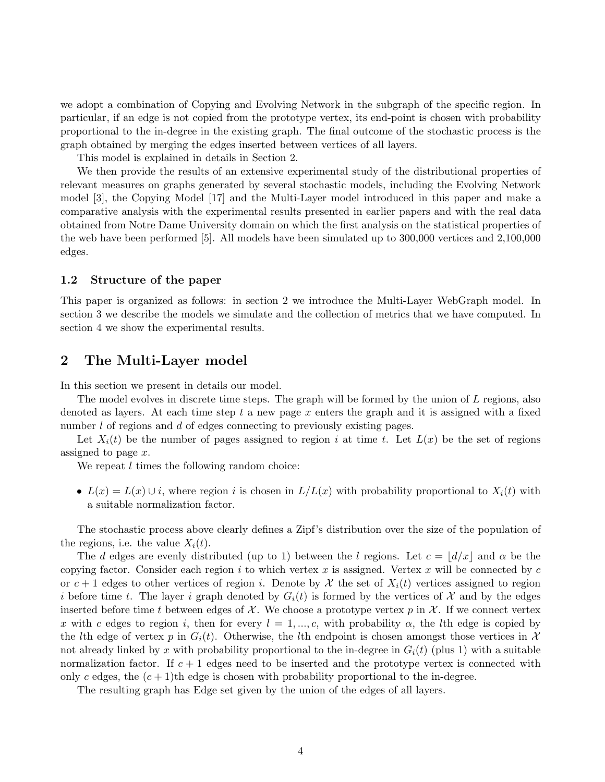we adopt a combination of Copying and Evolving Network in the subgraph of the specific region. In particular, if an edge is not copied from the prototype vertex, its end-point is chosen with probability proportional to the in-degree in the existing graph. The final outcome of the stochastic process is the graph obtained by merging the edges inserted between vertices of all layers.

This model is explained in details in Section 2.

We then provide the results of an extensive experimental study of the distributional properties of relevant measures on graphs generated by several stochastic models, including the Evolving Network model [3], the Copying Model [17] and the Multi-Layer model introduced in this paper and make a comparative analysis with the experimental results presented in earlier papers and with the real data obtained from Notre Dame University domain on which the first analysis on the statistical properties of the web have been performed [5]. All models have been simulated up to 300,000 vertices and 2,100,000 edges.

### 1.2 Structure of the paper

This paper is organized as follows: in section 2 we introduce the Multi-Layer WebGraph model. In section 3 we describe the models we simulate and the collection of metrics that we have computed. In section 4 we show the experimental results.

# 2 The Multi-Layer model

In this section we present in details our model.

The model evolves in discrete time steps. The graph will be formed by the union of L regions, also denoted as layers. At each time step  $t$  a new page  $x$  enters the graph and it is assigned with a fixed number l of regions and d of edges connecting to previously existing pages.

Let  $X_i(t)$  be the number of pages assigned to region i at time t. Let  $L(x)$  be the set of regions assigned to page x.

We repeat  $l$  times the following random choice:

•  $L(x) = L(x) \cup i$ , where region i is chosen in  $L/L(x)$  with probability proportional to  $X_i(t)$  with a suitable normalization factor.

The stochastic process above clearly defines a Zipf's distribution over the size of the population of the regions, i.e. the value  $X_i(t)$ .

The d edges are evenly distributed (up to 1) between the l regions. Let  $c = |d/x|$  and  $\alpha$  be the copying factor. Consider each region i to which vertex x is assigned. Vertex x will be connected by  $c$ or  $c + 1$  edges to other vertices of region i. Denote by X the set of  $X_i(t)$  vertices assigned to region i before time t. The layer i graph denoted by  $G_i(t)$  is formed by the vertices of X and by the edges inserted before time t between edges of  $\mathcal{X}$ . We choose a prototype vertex p in  $\mathcal{X}$ . If we connect vertex x with c edges to region i, then for every  $l = 1, ..., c$ , with probability  $\alpha$ , the lth edge is copied by the lth edge of vertex p in  $G_i(t)$ . Otherwise, the lth endpoint is chosen amongst those vertices in X not already linked by x with probability proportional to the in-degree in  $G_i(t)$  (plus 1) with a suitable normalization factor. If  $c + 1$  edges need to be inserted and the prototype vertex is connected with only c edges, the  $(c+1)$ th edge is chosen with probability proportional to the in-degree.

The resulting graph has Edge set given by the union of the edges of all layers.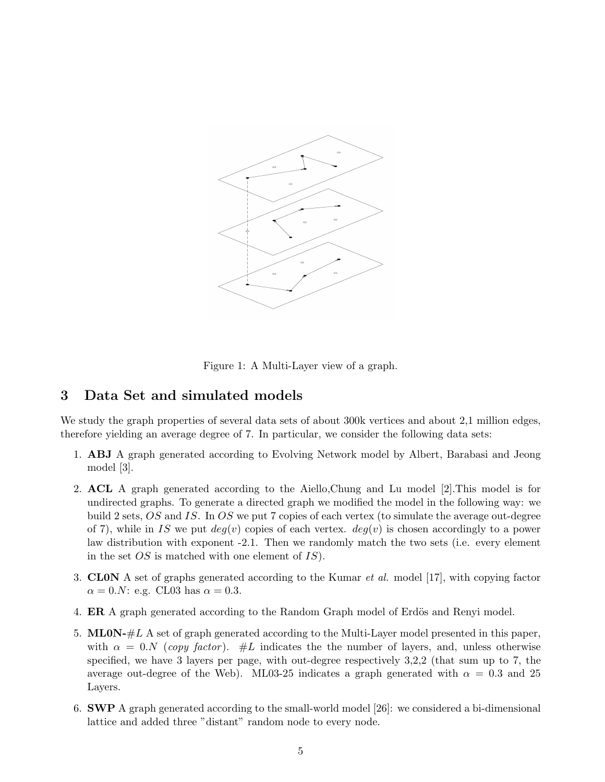

Figure 1: A Multi-Layer view of a graph.

# 3 Data Set and simulated models

We study the graph properties of several data sets of about 300k vertices and about 2,1 million edges, therefore yielding an average degree of 7. In particular, we consider the following data sets:

- 1. ABJ A graph generated according to Evolving Network model by Albert, Barabasi and Jeong model [3].
- 2. ACL A graph generated according to the Aiello,Chung and Lu model [2].This model is for undirected graphs. To generate a directed graph we modified the model in the following way: we build 2 sets, OS and IS. In OS we put 7 copies of each vertex (to simulate the average out-degree of 7), while in IS we put  $deg(v)$  copies of each vertex.  $deg(v)$  is chosen accordingly to a power law distribution with exponent -2.1. Then we randomly match the two sets (i.e. every element in the set  $OS$  is matched with one element of  $IS$ ).
- 3. CL0N A set of graphs generated according to the Kumar et al. model [17], with copying factor  $\alpha = 0.N$ : e.g. CL03 has  $\alpha = 0.3$ .
- 4. **ER** A graph generated according to the Random Graph model of Erdös and Renyi model.
- 5. ML0N- $\#L$  A set of graph generated according to the Multi-Layer model presented in this paper, with  $\alpha = 0.N$  (copy factor). #L indicates the the number of layers, and, unless otherwise specified, we have 3 layers per page, with out-degree respectively 3,2,2 (that sum up to 7, the average out-degree of the Web). ML03-25 indicates a graph generated with  $\alpha = 0.3$  and 25 Layers.
- 6. SWP A graph generated according to the small-world model [26]: we considered a bi-dimensional lattice and added three "distant" random node to every node.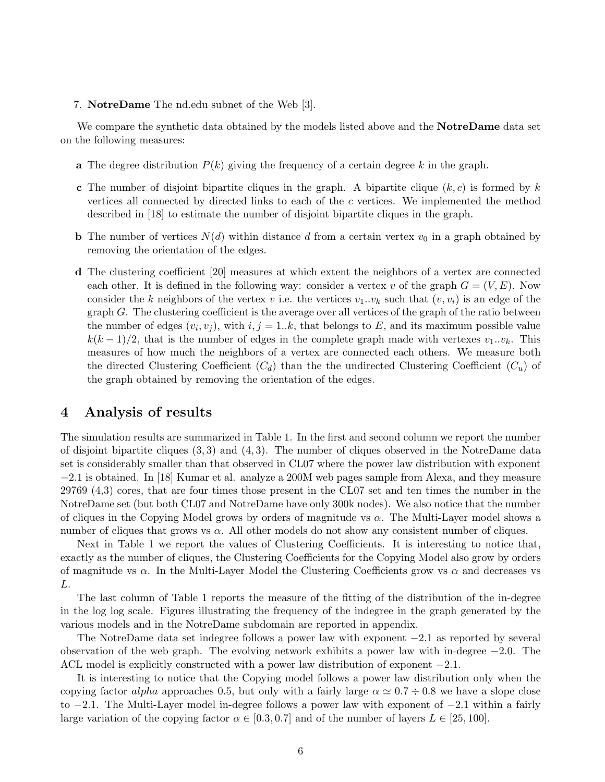#### 7. NotreDame The nd.edu subnet of the Web [3].

We compare the synthetic data obtained by the models listed above and the **NotreDame** data set on the following measures:

- a The degree distribution  $P(k)$  giving the frequency of a certain degree k in the graph.
- **c** The number of disjoint bipartite cliques in the graph. A bipartite clique  $(k, c)$  is formed by k vertices all connected by directed links to each of the c vertices. We implemented the method described in [18] to estimate the number of disjoint bipartite cliques in the graph.
- **b** The number of vertices  $N(d)$  within distance d from a certain vertex  $v_0$  in a graph obtained by removing the orientation of the edges.
- d The clustering coefficient [20] measures at which extent the neighbors of a vertex are connected each other. It is defined in the following way: consider a vertex v of the graph  $G = (V, E)$ . Now consider the k neighbors of the vertex v i.e. the vertices  $v_1...v_k$  such that  $(v, v_i)$  is an edge of the graph  $G$ . The clustering coefficient is the average over all vertices of the graph of the ratio between the number of edges  $(v_i, v_j)$ , with  $i, j = 1..k$ , that belongs to E, and its maximum possible value  $k(k-1)/2$ , that is the number of edges in the complete graph made with vertexes  $v_1...v_k$ . This measures of how much the neighbors of a vertex are connected each others. We measure both the directed Clustering Coefficient  $(C_d)$  than the the undirected Clustering Coefficient  $(C_u)$  of the graph obtained by removing the orientation of the edges.

## 4 Analysis of results

The simulation results are summarized in Table 1. In the first and second column we report the number of disjoint bipartite cliques  $(3,3)$  and  $(4,3)$ . The number of cliques observed in the NotreDame data set is considerably smaller than that observed in CL07 where the power law distribution with exponent −2.1 is obtained. In [18] Kumar et al. analyze a 200M web pages sample from Alexa, and they measure 29769 (4,3) cores, that are four times those present in the CL07 set and ten times the number in the NotreDame set (but both CL07 and NotreDame have only 300k nodes). We also notice that the number of cliques in the Copying Model grows by orders of magnitude vs  $\alpha$ . The Multi-Layer model shows a number of cliques that grows vs  $\alpha$ . All other models do not show any consistent number of cliques.

Next in Table 1 we report the values of Clustering Coefficients. It is interesting to notice that, exactly as the number of cliques, the Clustering Coefficients for the Copying Model also grow by orders of magnitude vs  $\alpha$ . In the Multi-Layer Model the Clustering Coefficients grow vs  $\alpha$  and decreases vs L.

The last column of Table 1 reports the measure of the fitting of the distribution of the in-degree in the log log scale. Figures illustrating the frequency of the indegree in the graph generated by the various models and in the NotreDame subdomain are reported in appendix.

The NotreDame data set indegree follows a power law with exponent −2.1 as reported by several observation of the web graph. The evolving network exhibits a power law with in-degree −2.0. The ACL model is explicitly constructed with a power law distribution of exponent −2.1.

It is interesting to notice that the Copying model follows a power law distribution only when the copying factor alpha approaches 0.5, but only with a fairly large  $\alpha \simeq 0.7 \div 0.8$  we have a slope close to −2.1. The Multi-Layer model in-degree follows a power law with exponent of −2.1 within a fairly large variation of the copying factor  $\alpha \in [0.3, 0.7]$  and of the number of layers  $L \in [25, 100]$ .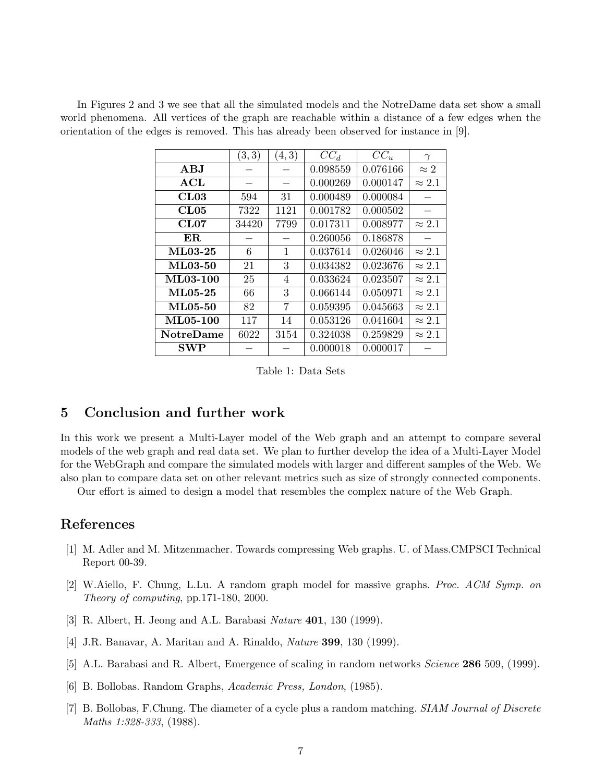In Figures 2 and 3 we see that all the simulated models and the NotreDame data set show a small world phenomena. All vertices of the graph are reachable within a distance of a few edges when the orientation of the edges is removed. This has already been observed for instance in [9].

|                               | (3,3) | (4,3)           | $CC_d$   | $CC_u$   | $\gamma$      |
|-------------------------------|-------|-----------------|----------|----------|---------------|
| $\mathbf A\mathbf B\mathbf J$ |       |                 | 0.098559 | 0.076166 | $\approx 2$   |
| $\bf{ACL}$                    |       | $\qquad \qquad$ | 0.000269 | 0.000147 | $\approx 2.1$ |
| CL03                          | 594   | 31              | 0.000489 | 0.000084 |               |
| CL05                          | 7322  | 1121            | 0.001782 | 0.000502 |               |
| CL07                          | 34420 | 7799            | 0.017311 | 0.008977 | $\approx 2.1$ |
| ER.                           |       |                 | 0.260056 | 0.186878 |               |
| <b>ML03-25</b>                | 6     | 1               | 0.037614 | 0.026046 | $\approx 2.1$ |
| <b>ML03-50</b>                | 21    | 3               | 0.034382 | 0.023676 | $\approx 2.1$ |
| <b>ML03-100</b>               | 25    | $\overline{4}$  | 0.033624 | 0.023507 | $\approx 2.1$ |
| $ML05-25$                     | 66    | 3               | 0.066144 | 0.050971 | $\approx 2.1$ |
| ML05-50                       | 82    | 7               | 0.059395 | 0.045663 | $\approx 2.1$ |
| <b>ML05-100</b>               | 117   | 14              | 0.053126 | 0.041604 | $\approx 2.1$ |
| <b>NotreDame</b>              | 6022  | 3154            | 0.324038 | 0.259829 | $\approx 2.1$ |
| SWP                           |       |                 | 0.000018 | 0.000017 |               |

Table 1: Data Sets

# 5 Conclusion and further work

In this work we present a Multi-Layer model of the Web graph and an attempt to compare several models of the web graph and real data set. We plan to further develop the idea of a Multi-Layer Model for the WebGraph and compare the simulated models with larger and different samples of the Web. We also plan to compare data set on other relevant metrics such as size of strongly connected components.

Our effort is aimed to design a model that resembles the complex nature of the Web Graph.

## References

- [1] M. Adler and M. Mitzenmacher. Towards compressing Web graphs. U. of Mass.CMPSCI Technical Report 00-39.
- [2] W.Aiello, F. Chung, L.Lu. A random graph model for massive graphs. Proc. ACM Symp. on Theory of computing, pp.171-180, 2000.
- [3] R. Albert, H. Jeong and A.L. Barabasi Nature 401, 130 (1999).
- [4] J.R. Banavar, A. Maritan and A. Rinaldo, Nature 399, 130 (1999).
- [5] A.L. Barabasi and R. Albert, Emergence of scaling in random networks Science 286 509, (1999).
- [6] B. Bollobas. Random Graphs, Academic Press, London, (1985).
- [7] B. Bollobas, F.Chung. The diameter of a cycle plus a random matching. SIAM Journal of Discrete Maths 1:328-333, (1988).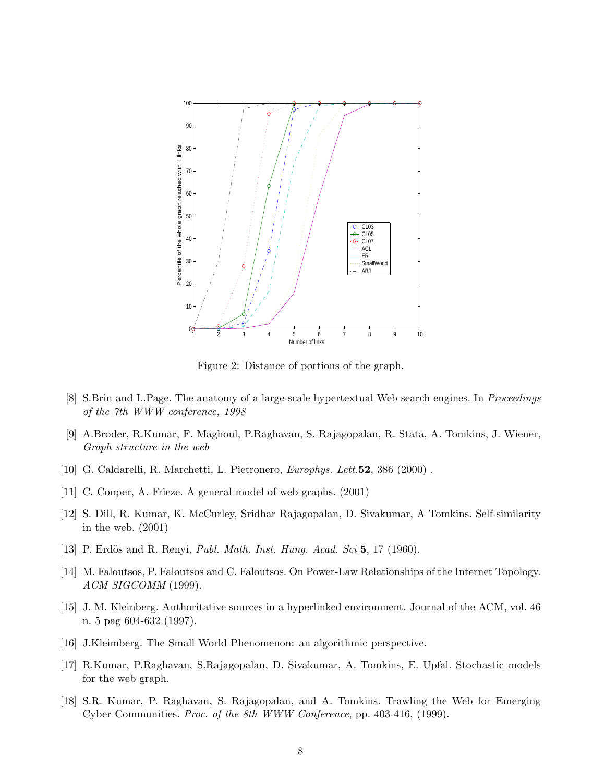

Figure 2: Distance of portions of the graph.

- [8] S.Brin and L.Page. The anatomy of a large-scale hypertextual Web search engines. In Proceedings of the 7th WWW conference, 1998
- [9] A.Broder, R.Kumar, F. Maghoul, P.Raghavan, S. Rajagopalan, R. Stata, A. Tomkins, J. Wiener, Graph structure in the web
- [10] G. Caldarelli, R. Marchetti, L. Pietronero, Europhys. Lett.52, 386 (2000) .
- [11] C. Cooper, A. Frieze. A general model of web graphs. (2001)
- [12] S. Dill, R. Kumar, K. McCurley, Sridhar Rajagopalan, D. Sivakumar, A Tomkins. Self-similarity in the web. (2001)
- [13] P. Erdös and R. Renyi, *Publ. Math. Inst. Hung. Acad. Sci* 5, 17 (1960).
- [14] M. Faloutsos, P. Faloutsos and C. Faloutsos. On Power-Law Relationships of the Internet Topology. ACM SIGCOMM (1999).
- [15] J. M. Kleinberg. Authoritative sources in a hyperlinked environment. Journal of the ACM, vol. 46 n. 5 pag 604-632 (1997).
- [16] J.Kleimberg. The Small World Phenomenon: an algorithmic perspective.
- [17] R.Kumar, P.Raghavan, S.Rajagopalan, D. Sivakumar, A. Tomkins, E. Upfal. Stochastic models for the web graph.
- [18] S.R. Kumar, P. Raghavan, S. Rajagopalan, and A. Tomkins. Trawling the Web for Emerging Cyber Communities. Proc. of the 8th WWW Conference, pp. 403-416, (1999).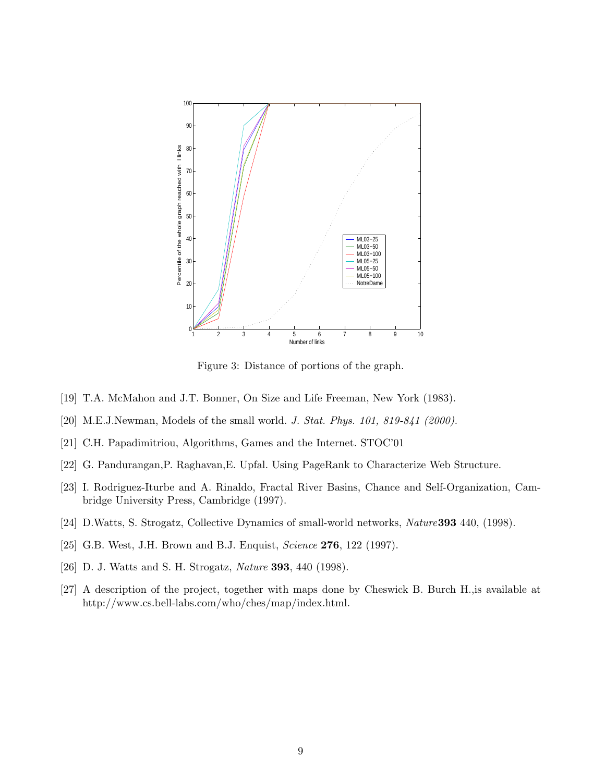

Figure 3: Distance of portions of the graph.

- [19] T.A. McMahon and J.T. Bonner, On Size and Life Freeman, New York (1983).
- [20] M.E.J.Newman, Models of the small world. J. Stat. Phys. 101, 819-841 (2000).
- [21] C.H. Papadimitriou, Algorithms, Games and the Internet. STOC'01
- [22] G. Pandurangan,P. Raghavan,E. Upfal. Using PageRank to Characterize Web Structure.
- [23] I. Rodriguez-Iturbe and A. Rinaldo, Fractal River Basins, Chance and Self-Organization, Cambridge University Press, Cambridge (1997).
- [24] D.Watts, S. Strogatz, Collective Dynamics of small-world networks, Nature393 440, (1998).
- [25] G.B. West, J.H. Brown and B.J. Enquist, *Science* **276**, 122 (1997).
- [26] D. J. Watts and S. H. Strogatz, Nature 393, 440 (1998).
- [27] A description of the project, together with maps done by Cheswick B. Burch H.,is available at http://www.cs.bell-labs.com/who/ches/map/index.html.